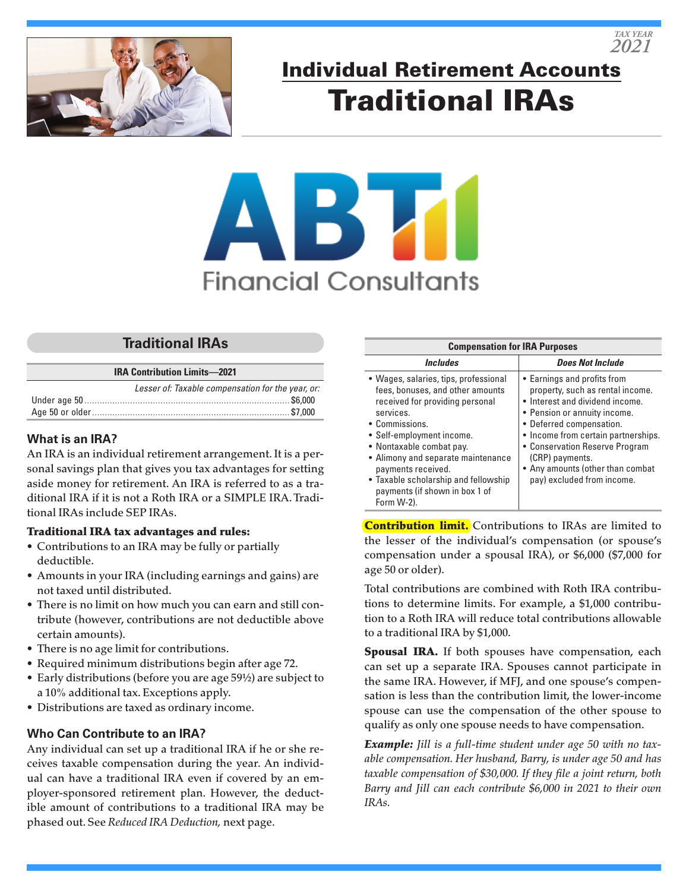

# Individual Retirement Accounts Traditional IRAs

# **Financial Consultants**

# **Traditional IRAs**

|  |  | <b>IRA Contribution Limits-2021</b> |  |  |
|--|--|-------------------------------------|--|--|
|--|--|-------------------------------------|--|--|

| Lesser of: Taxable compensation for the year, or: |
|---------------------------------------------------|
|                                                   |
|                                                   |

### **What is an IRA?**

An IRA is an individual retirement arrangement. It is a personal savings plan that gives you tax advantages for setting aside money for retirement. An IRA is referred to as a traditional IRA if it is not a Roth IRA or a SIMPLE IRA. Traditional IRAs include SEP IRAs.

#### Traditional IRA tax advantages and rules:

- Contributions to an IRA may be fully or partially deductible.
- Amounts in your IRA (including earnings and gains) are not taxed until distributed.
- There is no limit on how much you can earn and still contribute (however, contributions are not deductible above certain amounts).
- There is no age limit for contributions.
- Required minimum distributions begin after age 72.
- Early distributions (before you are age 59½) are subject to a 10% additional tax. Exceptions apply.
- Distributions are taxed as ordinary income.

## **Who Can Contribute to an IRA?**

Any individual can set up a traditional IRA if he or she receives taxable compensation during the year. An individual can have a traditional IRA even if covered by an employer-sponsored retirement plan. However, the deductible amount of contributions to a traditional IRA may be phased out. See *Reduced IRA Deduction,* next page.

| <b>Compensation for IRA Purposes</b>                                                                                                                                                                                                                                                                                                                     |                                                                                                                                                                                                                                                                                                                              |  |  |  |
|----------------------------------------------------------------------------------------------------------------------------------------------------------------------------------------------------------------------------------------------------------------------------------------------------------------------------------------------------------|------------------------------------------------------------------------------------------------------------------------------------------------------------------------------------------------------------------------------------------------------------------------------------------------------------------------------|--|--|--|
| <b>Includes</b>                                                                                                                                                                                                                                                                                                                                          | <b>Does Not Include</b>                                                                                                                                                                                                                                                                                                      |  |  |  |
| • Wages, salaries, tips, professional<br>fees, bonuses, and other amounts<br>received for providing personal<br>services.<br>• Commissions.<br>• Self-employment income.<br>• Nontaxable combat pay.<br>• Alimony and separate maintenance<br>payments received.<br>• Taxable scholarship and fellowship<br>payments (if shown in box 1 of<br>Form W-2). | • Earnings and profits from<br>property, such as rental income.<br>• Interest and dividend income.<br>• Pension or annuity income.<br>• Deferred compensation.<br>• Income from certain partnerships.<br>• Conservation Reserve Program<br>(CRP) payments.<br>• Any amounts (other than combat<br>pay) excluded from income. |  |  |  |

**Contribution limit.** Contributions to IRAs are limited to the lesser of the individual's compensation (or spouse's compensation under a spousal IRA), or \$6,000 (\$7,000 for age 50 or older).

Total contributions are combined with Roth IRA contributions to determine limits. For example, a \$1,000 contribution to a Roth IRA will reduce total contributions allowable to a traditional IRA by \$1,000.

Spousal IRA. If both spouses have compensation, each can set up a separate IRA. Spouses cannot participate in the same IRA. However, if MFJ, and one spouse's compensation is less than the contribution limit, the lower-income spouse can use the compensation of the other spouse to qualify as only one spouse needs to have compensation.

*Example: Jill is a full-time student under age 50 with no taxable compensation. Her husband, Barry, is under age 50 and has taxable compensation of \$30,000. If they file a joint return, both Barry and Jill can each contribute \$6,000 in 2021 to their own IRAs.*